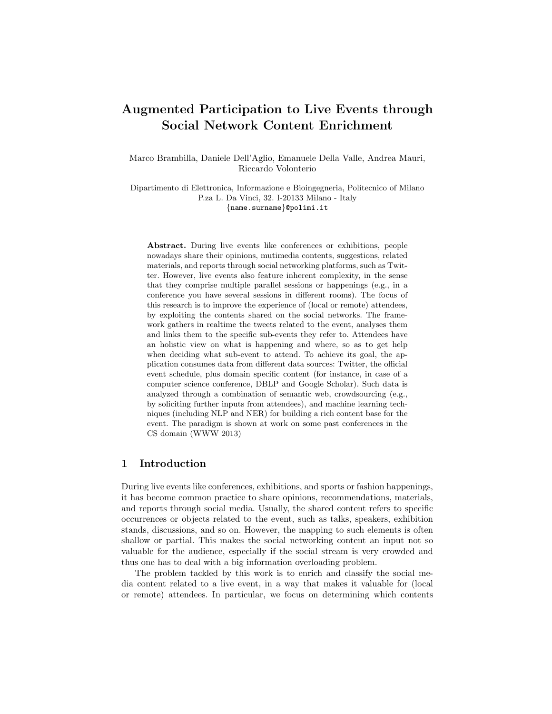# Augmented Participation to Live Events through Social Network Content Enrichment

Marco Brambilla, Daniele Dell'Aglio, Emanuele Della Valle, Andrea Mauri, Riccardo Volonterio

Dipartimento di Elettronica, Informazione e Bioingegneria, Politecnico of Milano P.za L. Da Vinci, 32. I-20133 Milano - Italy {name.surname}@polimi.it

Abstract. During live events like conferences or exhibitions, people nowadays share their opinions, mutimedia contents, suggestions, related materials, and reports through social networking platforms, such as Twitter. However, live events also feature inherent complexity, in the sense that they comprise multiple parallel sessions or happenings (e.g., in a conference you have several sessions in different rooms). The focus of this research is to improve the experience of (local or remote) attendees, by exploiting the contents shared on the social networks. The framework gathers in realtime the tweets related to the event, analyses them and links them to the specific sub-events they refer to. Attendees have an holistic view on what is happening and where, so as to get help when deciding what sub-event to attend. To achieve its goal, the application consumes data from different data sources: Twitter, the official event schedule, plus domain specific content (for instance, in case of a computer science conference, DBLP and Google Scholar). Such data is analyzed through a combination of semantic web, crowdsourcing (e.g., by soliciting further inputs from attendees), and machine learning techniques (including NLP and NER) for building a rich content base for the event. The paradigm is shown at work on some past conferences in the CS domain (WWW 2013)

## 1 Introduction

During live events like conferences, exhibitions, and sports or fashion happenings, it has become common practice to share opinions, recommendations, materials, and reports through social media. Usually, the shared content refers to specific occurrences or objects related to the event, such as talks, speakers, exhibition stands, discussions, and so on. However, the mapping to such elements is often shallow or partial. This makes the social networking content an input not so valuable for the audience, especially if the social stream is very crowded and thus one has to deal with a big information overloading problem.

The problem tackled by this work is to enrich and classify the social media content related to a live event, in a way that makes it valuable for (local or remote) attendees. In particular, we focus on determining which contents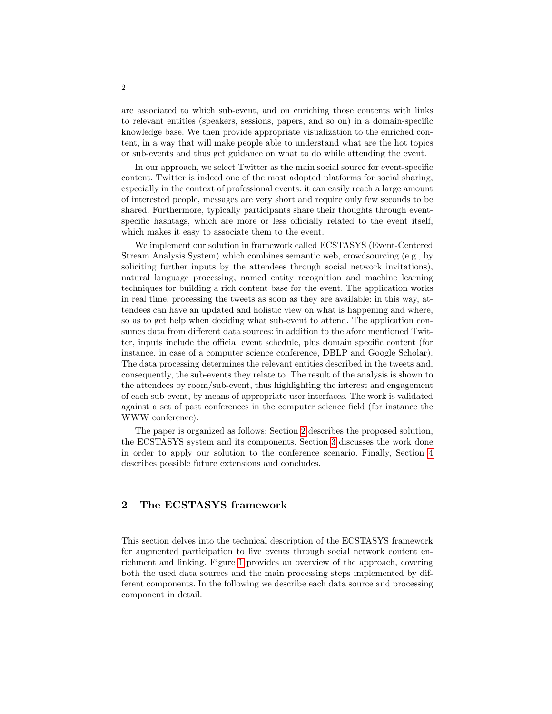are associated to which sub-event, and on enriching those contents with links to relevant entities (speakers, sessions, papers, and so on) in a domain-specific knowledge base. We then provide appropriate visualization to the enriched content, in a way that will make people able to understand what are the hot topics or sub-events and thus get guidance on what to do while attending the event.

In our approach, we select Twitter as the main social source for event-specific content. Twitter is indeed one of the most adopted platforms for social sharing, especially in the context of professional events: it can easily reach a large amount of interested people, messages are very short and require only few seconds to be shared. Furthermore, typically participants share their thoughts through eventspecific hashtags, which are more or less officially related to the event itself, which makes it easy to associate them to the event.

We implement our solution in framework called ECSTASYS (Event-Centered Stream Analysis System) which combines semantic web, crowdsourcing (e.g., by soliciting further inputs by the attendees through social network invitations), natural language processing, named entity recognition and machine learning techniques for building a rich content base for the event. The application works in real time, processing the tweets as soon as they are available: in this way, attendees can have an updated and holistic view on what is happening and where, so as to get help when deciding what sub-event to attend. The application consumes data from different data sources: in addition to the afore mentioned Twitter, inputs include the official event schedule, plus domain specific content (for instance, in case of a computer science conference, DBLP and Google Scholar). The data processing determines the relevant entities described in the tweets and, consequently, the sub-events they relate to. The result of the analysis is shown to the attendees by room/sub-event, thus highlighting the interest and engagement of each sub-event, by means of appropriate user interfaces. The work is validated against a set of past conferences in the computer science field (for instance the WWW conference).

The paper is organized as follows: Section [2](#page-1-0) describes the proposed solution, the ECSTASYS system and its components. Section [3](#page-6-0) discusses the work done in order to apply our solution to the conference scenario. Finally, Section [4](#page-7-0) describes possible future extensions and concludes.

# <span id="page-1-0"></span>2 The ECSTASYS framework

This section delves into the technical description of the ECSTASYS framework for augmented participation to live events through social network content enrichment and linking. Figure [1](#page-2-0) provides an overview of the approach, covering both the used data sources and the main processing steps implemented by different components. In the following we describe each data source and processing component in detail.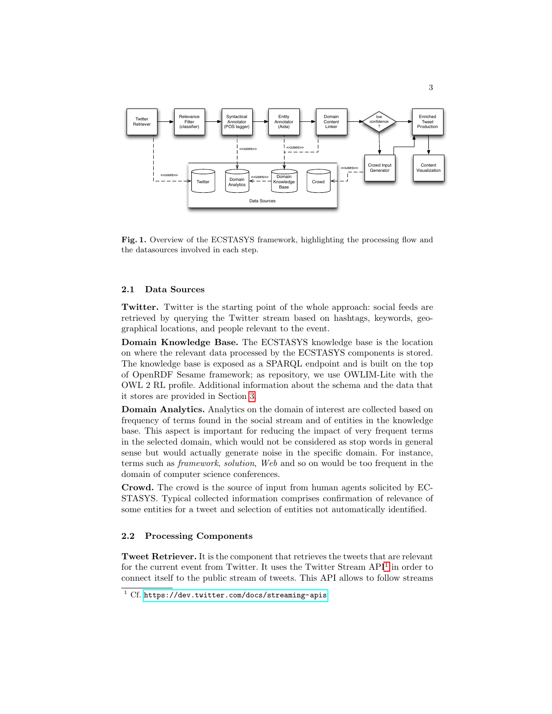

<span id="page-2-0"></span>Fig. 1. Overview of the ECSTASYS framework, highlighting the processing flow and the datasources involved in each step.

#### 2.1 Data Sources

Twitter. Twitter is the starting point of the whole approach: social feeds are retrieved by querying the Twitter stream based on hashtags, keywords, geographical locations, and people relevant to the event.

Domain Knowledge Base. The ECSTASYS knowledge base is the location on where the relevant data processed by the ECSTASYS components is stored. The knowledge base is exposed as a SPARQL endpoint and is built on the top of OpenRDF Sesame framework; as repository, we use OWLIM-Lite with the OWL 2 RL profile. Additional information about the schema and the data that it stores are provided in Section [3.](#page-6-0)

Domain Analytics. Analytics on the domain of interest are collected based on frequency of terms found in the social stream and of entities in the knowledge base. This aspect is important for reducing the impact of very frequent terms in the selected domain, which would not be considered as stop words in general sense but would actually generate noise in the specific domain. For instance, terms such as framework, solution, Web and so on would be too frequent in the domain of computer science conferences.

Crowd. The crowd is the source of input from human agents solicited by EC-STASYS. Typical collected information comprises confirmation of relevance of some entities for a tweet and selection of entities not automatically identified.

#### 2.2 Processing Components

Tweet Retriever. It is the component that retrieves the tweets that are relevant for the current event from Twitter. It uses the Twitter Stream  $API<sup>1</sup>$  $API<sup>1</sup>$  $API<sup>1</sup>$  in order to connect itself to the public stream of tweets. This API allows to follow streams

<span id="page-2-1"></span> $1 \text{ Cf. https://dev.twitter.com/docs/streaming-apis.}$  $1 \text{ Cf. https://dev.twitter.com/docs/streaming-apis.}$  $1 \text{ Cf. https://dev.twitter.com/docs/streaming-apis.}$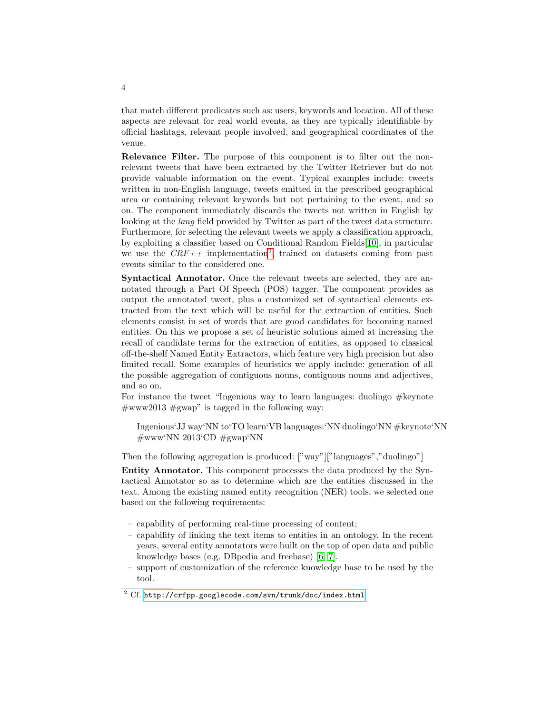that match different predicates such as: users, keywords and location. All of these aspects are relevant for real world events, as they are typically identifiable by official hashtags, relevant people involved, and geographical coordinates of the venue.

Relevance Filter. The purpose of this component is to filter out the nonrelevant tweets that have been extracted by the Twitter Retriever but do not provide valuable information on the event. Typical examples include: tweets written in non-English language, tweets emitted in the prescribed geographical area or containing relevant keywords but not pertaining to the event, and so on. The component immediately discards the tweets not written in English by looking at the *lang* field provided by Twitter as part of the tweet data structure. Furthermore, for selecting the relevant tweets we apply a classification approach, by exploiting a classifier based on Conditional Random Fields[\[10\]](#page-8-0), in particular we use the  $CRF++$  implementation<sup>[2](#page-3-0)</sup>, trained on datasets coming from past events similar to the considered one.

Syntactical Annotator. Once the relevant tweets are selected, they are annotated through a Part Of Speech (POS) tagger. The component provides as output the annotated tweet, plus a customized set of syntactical elements extracted from the text which will be useful for the extraction of entities. Such elements consist in set of words that are good candidates for becoming named entities. On this we propose a set of heuristic solutions aimed at increasing the recall of candidate terms for the extraction of entities, as opposed to classical off-the-shelf Named Entity Extractors, which feature very high precision but also limited recall. Some examples of heuristics we apply include: generation of all the possible aggregation of contiguous nouns, contiguous nouns and adjectives, and so on.

For instance the tweet "Ingenious way to learn languages: duolingo  $#$ keynote  $\#www2013 \#gwap$ " is tagged in the following way:

Ingenious'JJ way'NN to'TO learn'VB languages:'NN duolingo'NN #keynote'NN  $\#www'NN 2013'CD \#gwap'NN$ 

Then the following aggregation is produced: ["way"]["languages","duolingo"]

Entity Annotator. This component processes the data produced by the Syntactical Annotator so as to determine which are the entities discussed in the text. Among the existing named entity recognition (NER) tools, we selected one based on the following requirements:

- capability of performing real-time processing of content;
- capability of linking the text items to entities in an ontology. In the recent years, several entity annotators were built on the top of open data and public knowledge bases (e.g. DBpedia and freebase) [\[6,](#page-8-1) [7\]](#page-8-2).
- support of customization of the reference knowledge base to be used by the tool.

4

<span id="page-3-0"></span><sup>2</sup> Cf. <http://crfpp.googlecode.com/svn/trunk/doc/index.html>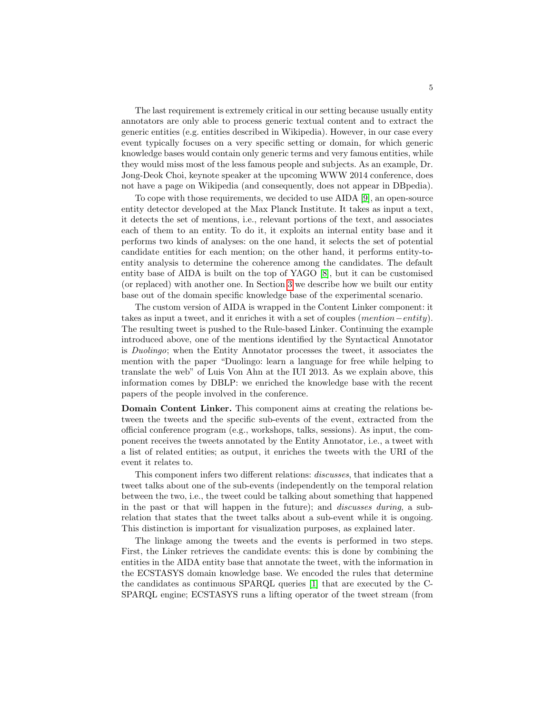The last requirement is extremely critical in our setting because usually entity annotators are only able to process generic textual content and to extract the generic entities (e.g. entities described in Wikipedia). However, in our case every event typically focuses on a very specific setting or domain, for which generic knowledge bases would contain only generic terms and very famous entities, while they would miss most of the less famous people and subjects. As an example, Dr. Jong-Deok Choi, keynote speaker at the upcoming WWW 2014 conference, does not have a page on Wikipedia (and consequently, does not appear in DBpedia).

To cope with those requirements, we decided to use AIDA [\[9\]](#page-8-3), an open-source entity detector developed at the Max Planck Institute. It takes as input a text, it detects the set of mentions, i.e., relevant portions of the text, and associates each of them to an entity. To do it, it exploits an internal entity base and it performs two kinds of analyses: on the one hand, it selects the set of potential candidate entities for each mention; on the other hand, it performs entity-toentity analysis to determine the coherence among the candidates. The default entity base of AIDA is built on the top of YAGO [\[8\]](#page-8-4), but it can be customised (or replaced) with another one. In Section [3](#page-6-0) we describe how we built our entity base out of the domain specific knowledge base of the experimental scenario.

The custom version of AIDA is wrapped in the Content Linker component: it takes as input a tweet, and it enriches it with a set of couples (mention−entity). The resulting tweet is pushed to the Rule-based Linker. Continuing the example introduced above, one of the mentions identified by the Syntactical Annotator is Duolingo; when the Entity Annotator processes the tweet, it associates the mention with the paper "Duolingo: learn a language for free while helping to translate the web" of Luis Von Ahn at the IUI 2013. As we explain above, this information comes by DBLP: we enriched the knowledge base with the recent papers of the people involved in the conference.

Domain Content Linker. This component aims at creating the relations between the tweets and the specific sub-events of the event, extracted from the official conference program (e.g., workshops, talks, sessions). As input, the component receives the tweets annotated by the Entity Annotator, i.e., a tweet with a list of related entities; as output, it enriches the tweets with the URI of the event it relates to.

This component infers two different relations: discusses, that indicates that a tweet talks about one of the sub-events (independently on the temporal relation between the two, i.e., the tweet could be talking about something that happened in the past or that will happen in the future); and discusses during, a subrelation that states that the tweet talks about a sub-event while it is ongoing. This distinction is important for visualization purposes, as explained later.

The linkage among the tweets and the events is performed in two steps. First, the Linker retrieves the candidate events: this is done by combining the entities in the AIDA entity base that annotate the tweet, with the information in the ECSTASYS domain knowledge base. We encoded the rules that determine the candidates as continuous SPARQL queries [\[1\]](#page-8-5) that are executed by the C-SPARQL engine; ECSTASYS runs a lifting operator of the tweet stream (from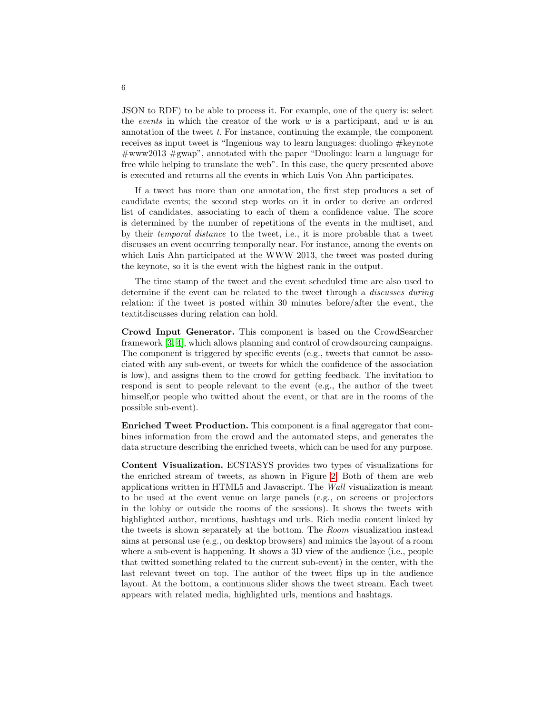JSON to RDF) to be able to process it. For example, one of the query is: select the events in which the creator of the work  $w$  is a participant, and  $w$  is an annotation of the tweet  $t$ . For instance, continuing the example, the component receives as input tweet is "Ingenious way to learn languages: duolingo #keynote  $\#www2013 \#gwap$ , annotated with the paper "Duolingo: learn a language for free while helping to translate the web". In this case, the query presented above is executed and returns all the events in which Luis Von Ahn participates.

If a tweet has more than one annotation, the first step produces a set of candidate events; the second step works on it in order to derive an ordered list of candidates, associating to each of them a confidence value. The score is determined by the number of repetitions of the events in the multiset, and by their temporal distance to the tweet, i.e., it is more probable that a tweet discusses an event occurring temporally near. For instance, among the events on which Luis Ahn participated at the WWW 2013, the tweet was posted during the keynote, so it is the event with the highest rank in the output.

The time stamp of the tweet and the event scheduled time are also used to determine if the event can be related to the tweet through a discusses during relation: if the tweet is posted within 30 minutes before/after the event, the textitdiscusses during relation can hold.

Crowd Input Generator. This component is based on the CrowdSearcher framework [\[3,](#page-8-6) [4\]](#page-8-7), which allows planning and control of crowdsourcing campaigns. The component is triggered by specific events (e.g., tweets that cannot be associated with any sub-event, or tweets for which the confidence of the association is low), and assigns them to the crowd for getting feedback. The invitation to respond is sent to people relevant to the event (e.g., the author of the tweet himself,or people who twitted about the event, or that are in the rooms of the possible sub-event).

Enriched Tweet Production. This component is a final aggregator that combines information from the crowd and the automated steps, and generates the data structure describing the enriched tweets, which can be used for any purpose.

Content Visualization. ECSTASYS provides two types of visualizations for the enriched stream of tweets, as shown in Figure [2.](#page-6-1) Both of them are web applications written in HTML5 and Javascript. The Wall visualization is meant to be used at the event venue on large panels (e.g., on screens or projectors in the lobby or outside the rooms of the sessions). It shows the tweets with highlighted author, mentions, hashtags and urls. Rich media content linked by the tweets is shown separately at the bottom. The Room visualization instead aims at personal use (e.g., on desktop browsers) and mimics the layout of a room where a sub-event is happening. It shows a 3D view of the audience (i.e., people that twitted something related to the current sub-event) in the center, with the last relevant tweet on top. The author of the tweet flips up in the audience layout. At the bottom, a continuous slider shows the tweet stream. Each tweet appears with related media, highlighted urls, mentions and hashtags.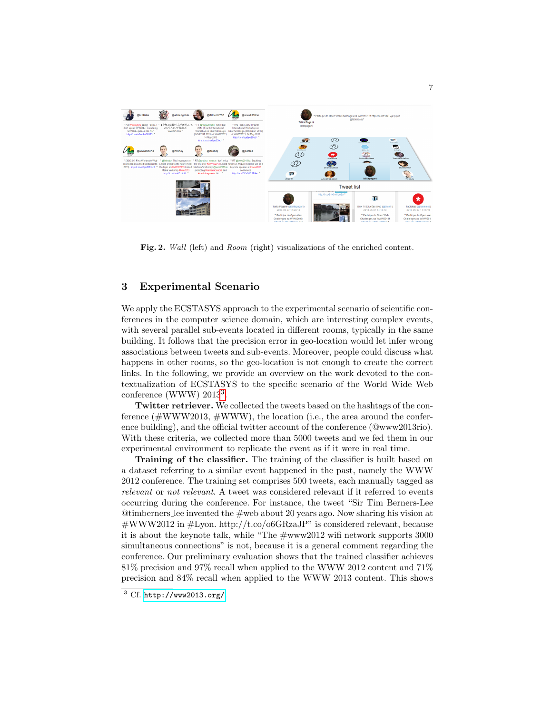

Fig. 2. *Wall* (left) and *Room* (right) visualizations of the enriched content.

### <span id="page-6-1"></span><span id="page-6-0"></span>3 Experimental Scenario

We apply the ECSTASYS approach to the experimental scenario of scientific conferences in the computer science domain, which are interesting complex events, with several parallel sub-events located in different rooms, typically in the same building. It follows that the precision error in geo-location would let infer wrong associations between tweets and sub-events. Moreover, people could discuss what happens in other rooms, so the geo-location is not enough to create the correct links. In the following, we provide an overview on the work devoted to the contextualization of ECSTASYS to the specific scenario of the World Wide Web conference (WWW) 201[3](#page-6-2)<sup>3</sup>.

Twitter retriever. We collected the tweets based on the hashtags of the conference  $(\text{#WWW2013}, \text{#WWW})$ , the location (i.e., the area around the conference building), and the official twitter account of the conference (@www2013rio). With these criteria, we collected more than 5000 tweets and we fed them in our experimental environment to replicate the event as if it were in real time.

Training of the classifier. The training of the classifier is built based on a dataset referring to a similar event happened in the past, namely the WWW 2012 conference. The training set comprises 500 tweets, each manually tagged as relevant or not relevant. A tweet was considered relevant if it referred to events occurring during the conference. For instance, the tweet "Sir Tim Berners-Lee @timberners lee invented the #web about 20 years ago. Now sharing his vision at  $\#WWW2012$  in  $\#Lyon.$  http://t.co/o6GRzaJP" is considered relevant, because it is about the keynote talk, while "The #www2012 wifi network supports 3000 simultaneous connections" is not, because it is a general comment regarding the conference. Our preliminary evaluation shows that the trained classifier achieves 81% precision and 97% recall when applied to the WWW 2012 content and 71% precision and 84% recall when applied to the WWW 2013 content. This shows

<span id="page-6-2"></span> $3$  Cf. <http://www2013.org/>.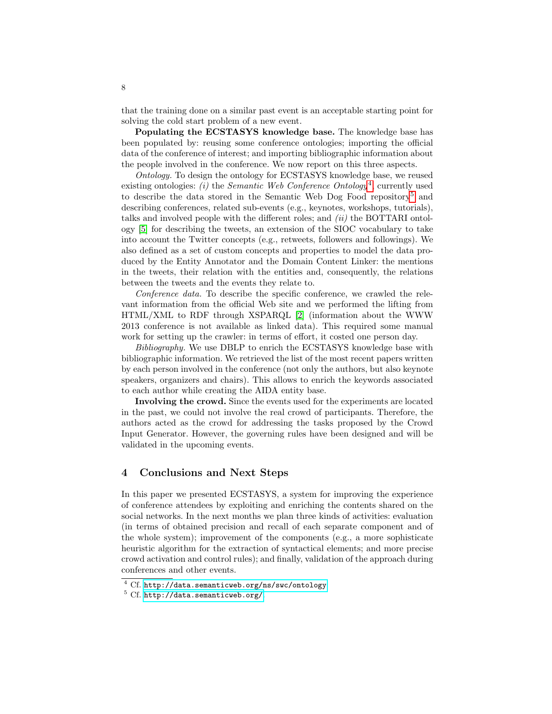that the training done on a similar past event is an acceptable starting point for solving the cold start problem of a new event.

Populating the ECSTASYS knowledge base. The knowledge base has been populated by: reusing some conference ontologies; importing the official data of the conference of interest; and importing bibliographic information about the people involved in the conference. We now report on this three aspects.

Ontology. To design the ontology for ECSTASYS knowledge base, we reused existing ontologies: (i) the Semantic Web Conference Ontology<sup>[4](#page-7-1)</sup>, currently used to describe the data stored in the Semantic Web Dog Food repository<sup>[5](#page-7-2)</sup> and describing conferences, related sub-events (e.g., keynotes, workshops, tutorials), talks and involved people with the different roles; and  $(ii)$  the BOTTARI ontology [\[5\]](#page-8-8) for describing the tweets, an extension of the SIOC vocabulary to take into account the Twitter concepts (e.g., retweets, followers and followings). We also defined as a set of custom concepts and properties to model the data produced by the Entity Annotator and the Domain Content Linker: the mentions in the tweets, their relation with the entities and, consequently, the relations between the tweets and the events they relate to.

Conference data. To describe the specific conference, we crawled the relevant information from the official Web site and we performed the lifting from HTML/XML to RDF through XSPARQL [\[2\]](#page-8-9) (information about the WWW 2013 conference is not available as linked data). This required some manual work for setting up the crawler: in terms of effort, it costed one person day.

Bibliography. We use DBLP to enrich the ECSTASYS knowledge base with bibliographic information. We retrieved the list of the most recent papers written by each person involved in the conference (not only the authors, but also keynote speakers, organizers and chairs). This allows to enrich the keywords associated to each author while creating the AIDA entity base.

Involving the crowd. Since the events used for the experiments are located in the past, we could not involve the real crowd of participants. Therefore, the authors acted as the crowd for addressing the tasks proposed by the Crowd Input Generator. However, the governing rules have been designed and will be validated in the upcoming events.

#### <span id="page-7-0"></span>4 Conclusions and Next Steps

In this paper we presented ECSTASYS, a system for improving the experience of conference attendees by exploiting and enriching the contents shared on the social networks. In the next months we plan three kinds of activities: evaluation (in terms of obtained precision and recall of each separate component and of the whole system); improvement of the components (e.g., a more sophisticate heuristic algorithm for the extraction of syntactical elements; and more precise crowd activation and control rules); and finally, validation of the approach during conferences and other events.

<span id="page-7-1"></span><sup>4</sup> Cf. <http://data.semanticweb.org/ns/swc/ontology>

<span id="page-7-2"></span> $5$  Cf. <http://data.semanticweb.org/>.